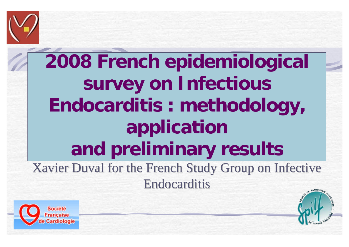

## **2008 French epidemiological survey on Infectious Endocarditis : methodology, application and preliminary results**  Xavier Duval for the French Study Group on Infective **Endocarditis**



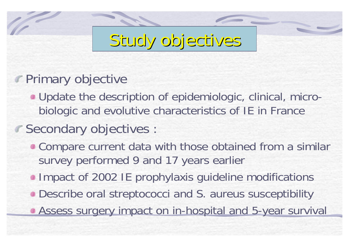## Study objectives

#### **Primary objective**

Update the description of epidemiologic, clinical, microbiologic and evolutive characteristics of IE in France

#### Secondary objectives :

- Compare current data with those obtained from a similar survey performed 9 and 17 years earlier
- **Impact of 2002 IE prophylaxis guideline modifications**
- Describe oral streptococci and S. aureus susceptibility
- **Assess surgery impact on in-hospital and 5-year survival**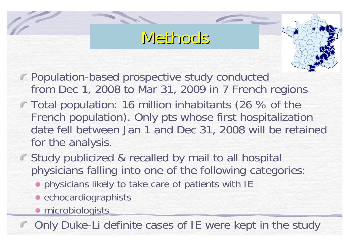### Methods Methods



- Population-based prospective study conducted from Dec 1, 2008 to Mar 31, 2009 in 7 French regions
- Total population: 16 million inhabitants (26 % of the French population). Only pts whose first hospitalization date fell between Jan 1 and Dec 31, 2008 will be retained for the analysis.
- **Study publicized & recalled by mail to all hospital** physicians falling into one of the following categories:
	- **physicians likely to take care of patients with IE**
	- **e** echocardiographists
	- *<u></u>* microbiologists

Only Duke-Li definite cases of IE were kept in the study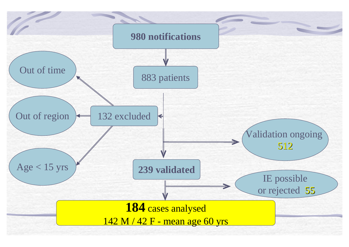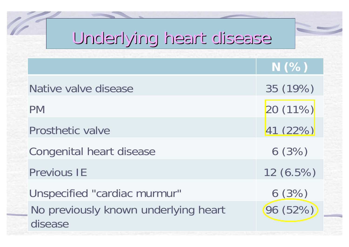## Underlying heart disease Underlying heart disease

|                                                 | N(%)        |
|-------------------------------------------------|-------------|
| Native valve disease                            | 35 (19%)    |
| <b>PM</b>                                       | 20(11%)     |
| <b>Prosthetic valve</b>                         | 41 (22%)    |
| Congenital heart disease                        | 6(3%)       |
| <b>Previous IE</b>                              | $12(6.5\%)$ |
| Unspecified "cardiac murmur"                    | 6(3%)       |
| No previously known underlying heart<br>disease | (96 (52%)   |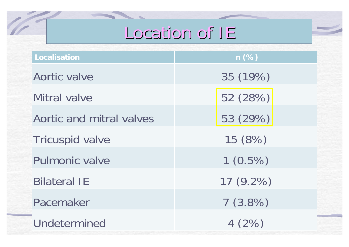### Location of IE

| Localisation             | $n$ (%)    |  |  |
|--------------------------|------------|--|--|
| Aortic valve             | 35 (19%)   |  |  |
| Mitral valve             | 52 (28%)   |  |  |
| Aortic and mitral valves | 53 (29%)   |  |  |
| <b>Tricuspid valve</b>   | 15 (8%)    |  |  |
| <b>Pulmonic valve</b>    | $1(0.5\%)$ |  |  |
| <b>Bilateral IE</b>      | 17 (9.2%)  |  |  |
| Pacemaker                | 7(3.8%)    |  |  |
| Undetermined             | 4(2%)      |  |  |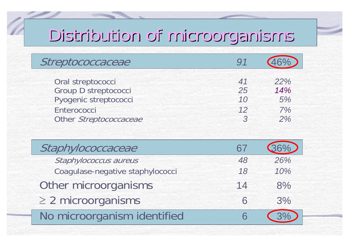# Distribution of microorganisms Distribution of microorganisms

| Streptococcaceae       | <u>Q1</u>      |     |
|------------------------|----------------|-----|
| Oral streptococci      | 41             | 22% |
| Group D streptococci   | 25             | 14% |
| Pyogenic streptococci  | 10             | 5%  |
| Enterococci            | 12             | 7%  |
| Other Streptococcaceae | $\overline{a}$ | 2%  |

| Staphylococcaceae                | 67 |     |
|----------------------------------|----|-----|
| Staphylococcus aureus            | 48 | 26% |
| Coagulase-negative staphylococci | 18 | 10% |
| Other microorganisms             | 14 | 8%  |
| $\geq$ 2 microorganisms          | 6  | 3%  |
| No microorganism identified      |    |     |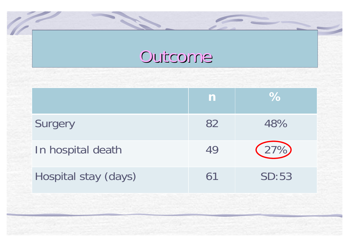#### Outcome

**COLLEGE** 

|                      | $\mathbf n$ | $\%$  |
|----------------------|-------------|-------|
| Surgery              | 82          | 48%   |
| In hospital death    | 49          | (27%) |
| Hospital stay (days) | 61          | SD:53 |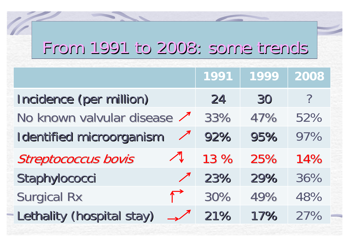## From 1991 to 2008: some trends From 1991 to 2008: some trends

|                                               | 1991 | 1999 | 2008 |
|-----------------------------------------------|------|------|------|
| Incidence (per million)                       | 24   | 30   | ?    |
| No known valvular disease                     | 33%  | 47%  | 52%  |
| <b>Identified microorganism</b><br>$\sqrt{ }$ | 92%  | 95%  | 97%  |
| <b>Streptococcus bovis</b>                    | 13 % | 25%  | 14%  |
| Staphylococci<br>$\sqrt{ }$                   | 23%  | 29%  | 36%  |
| <b>Surgical Rx</b><br>$\sqrt{ }$              | 30%  | 49%  | 48%  |
| Lethality (hospital stay)                     | 21%  | 17%  | 27%  |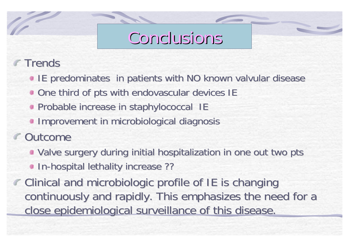### Conclusions Conclusions

#### Trends

- **IE predominates in patients with NO known valvular disease**
- **.** One third of pts with endovascular devices IE
- **Probable increase in staphylococcal IE**
- **Improvement in microbiological diagnosis**
- **Outcome** 
	- **Valve surgery during initial hospitalization in one out two pts**
	- **In-hospital lethality increase ??**
- $\epsilon$  Clinical and microbiologic profile of IE is changing continuously and rapidly. This emphasizes the need for a close epidemiological surveillance of this disease.